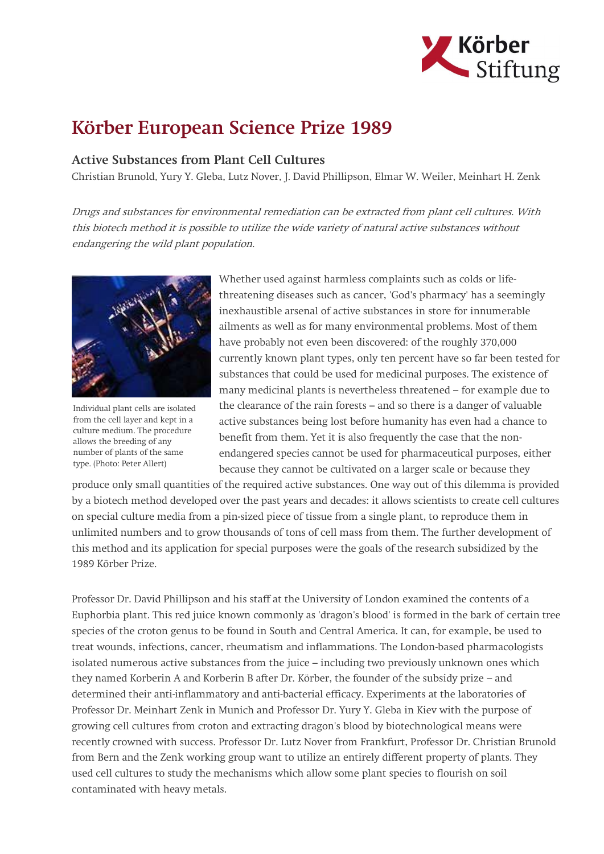

## Körber European Science Prize 1989

## Active Substances from Plant Cell Cultures

Christian Brunold, Yury Y. Gleba, Lutz Nover, J. David Phillipson, Elmar W. Weiler, Meinhart H. Zenk

Drugs and substances for environmental remediation can be extracted from plant cell cultures. With this biotech method it is possible to utilize the wide variety of natural active substances without endangering the wild plant population.



Individual plant cells are isolated from the cell layer and kept in a culture medium. The procedure allows the breeding of any number of plants of the same type. (Photo: Peter Allert)

Whether used against harmless complaints such as colds or lifethreatening diseases such as cancer, 'God's pharmacy' has a seemingly inexhaustible arsenal of active substances in store for innumerable ailments as well as for many environmental problems. Most of them have probably not even been discovered: of the roughly 370,000 currently known plant types, only ten percent have so far been tested for substances that could be used for medicinal purposes. The existence of many medicinal plants is nevertheless threatened – for example due to the clearance of the rain forests – and so there is a danger of valuable active substances being lost before humanity has even had a chance to benefit from them. Yet it is also frequently the case that the nonendangered species cannot be used for pharmaceutical purposes, either because they cannot be cultivated on a larger scale or because they

produce only small quantities of the required active substances. One way out of this dilemma is provided by a biotech method developed over the past years and decades: it allows scientists to create cell cultures on special culture media from a pin-sized piece of tissue from a single plant, to reproduce them in unlimited numbers and to grow thousands of tons of cell mass from them. The further development of this method and its application for special purposes were the goals of the research subsidized by the 1989 Körber Prize.

Professor Dr. David Phillipson and his staff at the University of London examined the contents of a Euphorbia plant. This red juice known commonly as 'dragon's blood' is formed in the bark of certain tree species of the croton genus to be found in South and Central America. It can, for example, be used to treat wounds, infections, cancer, rheumatism and inflammations. The London-based pharmacologists isolated numerous active substances from the juice – including two previously unknown ones which they named Korberin A and Korberin B after Dr. Körber, the founder of the subsidy prize – and determined their anti-inflammatory and anti-bacterial efficacy. Experiments at the laboratories of Professor Dr. Meinhart Zenk in Munich and Professor Dr. Yury Y. Gleba in Kiev with the purpose of growing cell cultures from croton and extracting dragon's blood by biotechnological means were recently crowned with success. Professor Dr. Lutz Nover from Frankfurt, Professor Dr. Christian Brunold from Bern and the Zenk working group want to utilize an entirely different property of plants. They used cell cultures to study the mechanisms which allow some plant species to flourish on soil contaminated with heavy metals.